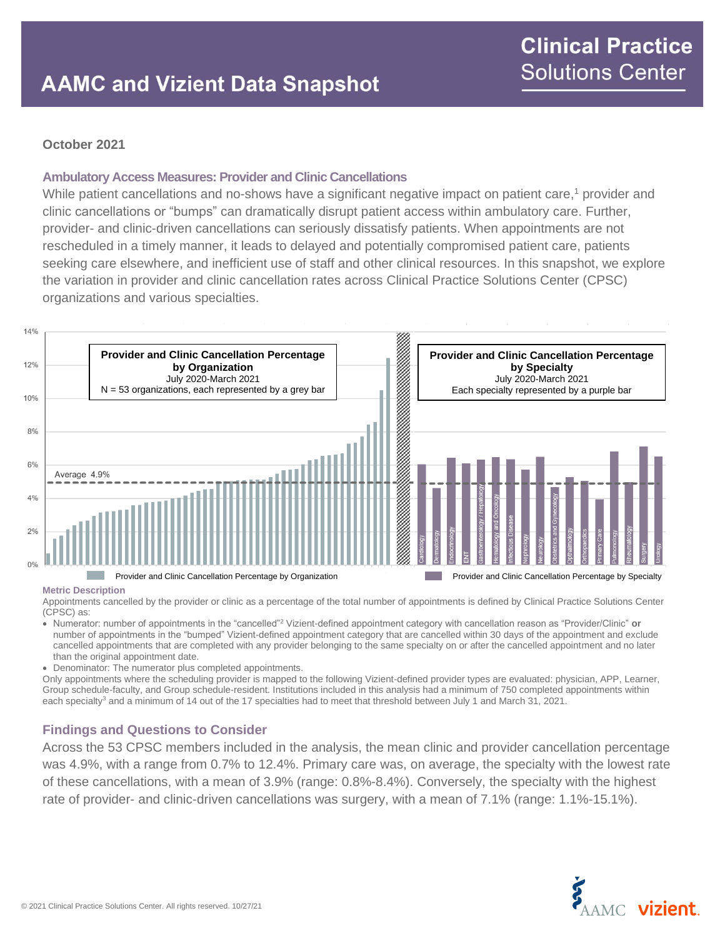### **October 2021**

### **Ambulatory Access Measures: Provider and Clinic Cancellations**

While patient cancellations and no-shows have a significant negative impact on patient care,<sup>1</sup> provider and clinic cancellations or "bumps" can dramatically disrupt patient access within ambulatory care. Further, provider- and clinic-driven cancellations can seriously dissatisfy patients. When appointments are not rescheduled in a timely manner, it leads to delayed and potentially compromised patient care, patients seeking care elsewhere, and inefficient use of staff and other clinical resources. In this snapshot, we explore the variation in provider and clinic cancellation rates across Clinical Practice Solutions Center (CPSC) organizations and various specialties.



#### **Metric Description**

Appointments cancelled by the provider or clinic as a percentage of the total number of appointments is defined by Clinical Practice Solutions Center (CPSC) as:

• Numerator: number of appointments in the "cancelled"<sup>2</sup> Vizient-defined appointment category with cancellation reason as "Provider/Clinic" **or** number of appointments in the "bumped" Vizient-defined appointment category that are cancelled within 30 days of the appointment and exclude cancelled appointments that are completed with any provider belonging to the same specialty on or after the cancelled appointment and no later than the original appointment date.

• Denominator: The numerator plus completed appointments.

Only appointments where the scheduling provider is mapped to the following Vizient-defined provider types are evaluated: physician, APP, Learner, Group schedule-faculty, and Group schedule-resident. Institutions included in this analysis had a minimum of 750 completed appointments within each specialty<sup>3</sup> and a minimum of 14 out of the 17 specialties had to meet that threshold between July 1 and March 31, 2021.

### **Findings and Questions to Consider**

Across the 53 CPSC members included in the analysis, the mean clinic and provider cancellation percentage was 4.9%, with a range from 0.7% to 12.4%. Primary care was, on average, the specialty with the lowest rate of these cancellations, with a mean of 3.9% (range: 0.8%-8.4%). Conversely, the specialty with the highest rate of provider- and clinic-driven cancellations was surgery, with a mean of 7.1% (range: 1.1%-15.1%).